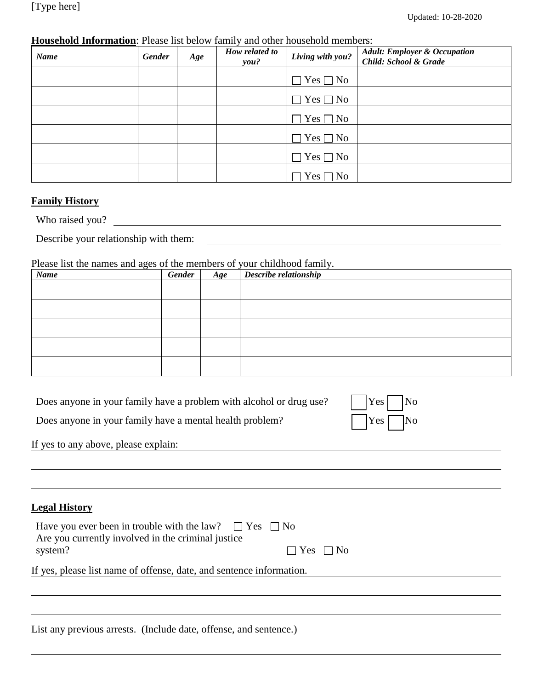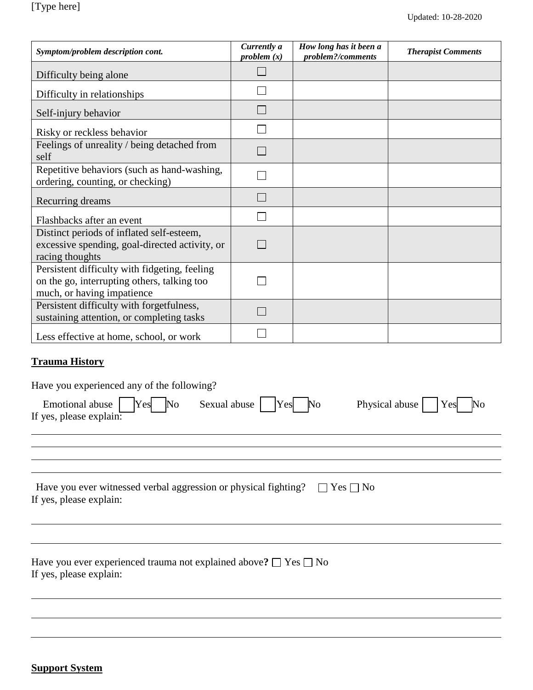| Symptom/problem description cont.                                                                                          | Currently a<br>problem(x) | How long has it been a<br>problem?/comments | <b>Therapist Comments</b> |
|----------------------------------------------------------------------------------------------------------------------------|---------------------------|---------------------------------------------|---------------------------|
| Difficulty being alone                                                                                                     |                           |                                             |                           |
| Difficulty in relationships                                                                                                |                           |                                             |                           |
| Self-injury behavior                                                                                                       |                           |                                             |                           |
| Risky or reckless behavior                                                                                                 |                           |                                             |                           |
| Feelings of unreality / being detached from<br>self                                                                        |                           |                                             |                           |
| Repetitive behaviors (such as hand-washing,<br>ordering, counting, or checking)                                            |                           |                                             |                           |
| Recurring dreams                                                                                                           | $\mathbf{L}$              |                                             |                           |
| Flashbacks after an event                                                                                                  |                           |                                             |                           |
| Distinct periods of inflated self-esteem,<br>excessive spending, goal-directed activity, or<br>racing thoughts             |                           |                                             |                           |
| Persistent difficulty with fidgeting, feeling<br>on the go, interrupting others, talking too<br>much, or having impatience |                           |                                             |                           |
| Persistent difficulty with forgetfulness,<br>sustaining attention, or completing tasks                                     |                           |                                             |                           |
| Less effective at home, school, or work                                                                                    |                           |                                             |                           |

# **Trauma History**

Have you experienced any of the following?

| Emotional abuse $Yes$ No Sexual abuse $Yes$ No<br>If yes, please explain: |  | Physical abuse $\Box$ Yes $\Box$ No |
|---------------------------------------------------------------------------|--|-------------------------------------|
|---------------------------------------------------------------------------|--|-------------------------------------|

| Have you ever witnessed verbal aggression or physical fighting? $\Box$ Yes $\Box$ No |  |
|--------------------------------------------------------------------------------------|--|
| If yes, please explain:                                                              |  |

Have you ever experienced trauma not explained above?  $\square$  Yes  $\square$  No If yes, please explain: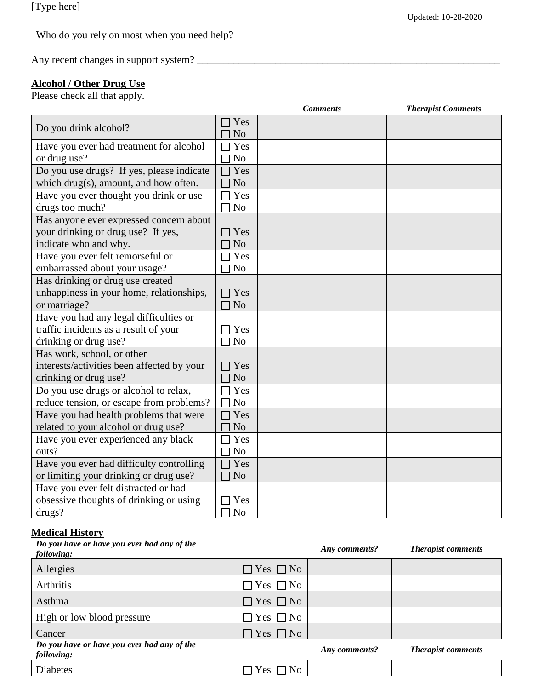<u> 1980 - Johann Barn, mars ann an t-Amhain Aonaich an t-Aonaich an t-Aonaich ann an t-Aonaich ann an t-Aonaich</u>

| Who do you rely on most when you need help? |
|---------------------------------------------|
|---------------------------------------------|

Any recent changes in support system? \_\_\_\_\_\_\_\_\_\_\_\_\_\_\_\_\_\_\_\_\_\_\_\_\_\_\_\_\_\_\_\_\_\_\_\_\_\_\_\_\_\_\_\_\_\_\_\_\_\_\_\_\_\_\_\_\_\_

#### **Alcohol / Other Drug Use**

Please check all that apply.

|                                            |                       | <b>Comments</b> | <b>Therapist Comments</b> |
|--------------------------------------------|-----------------------|-----------------|---------------------------|
| Do you drink alcohol?                      | Yes<br>N <sub>o</sub> |                 |                           |
| Have you ever had treatment for alcohol    | Yes                   |                 |                           |
| or drug use?                               | N <sub>o</sub>        |                 |                           |
| Do you use drugs? If yes, please indicate  | Yes                   |                 |                           |
| which drug(s), amount, and how often.      | N <sub>o</sub>        |                 |                           |
| Have you ever thought you drink or use     | Yes                   |                 |                           |
| drugs too much?                            | N <sub>o</sub>        |                 |                           |
| Has anyone ever expressed concern about    |                       |                 |                           |
| your drinking or drug use? If yes,         | Yes                   |                 |                           |
| indicate who and why.                      | N <sub>o</sub>        |                 |                           |
| Have you ever felt remorseful or           | Yes                   |                 |                           |
| embarrassed about your usage?              | N <sub>o</sub>        |                 |                           |
| Has drinking or drug use created           |                       |                 |                           |
| unhappiness in your home, relationships,   | $\exists$ Yes         |                 |                           |
| or marriage?                               | N <sub>o</sub>        |                 |                           |
| Have you had any legal difficulties or     |                       |                 |                           |
| traffic incidents as a result of your      | Yes                   |                 |                           |
| drinking or drug use?                      | N <sub>o</sub>        |                 |                           |
| Has work, school, or other                 |                       |                 |                           |
| interests/activities been affected by your | Yes                   |                 |                           |
| drinking or drug use?                      | N <sub>o</sub>        |                 |                           |
| Do you use drugs or alcohol to relax,      | Yes                   |                 |                           |
| reduce tension, or escape from problems?   | N <sub>o</sub>        |                 |                           |
| Have you had health problems that were     | Yes                   |                 |                           |
| related to your alcohol or drug use?       | N <sub>o</sub>        |                 |                           |
| Have you ever experienced any black        | Yes                   |                 |                           |
| outs?                                      | N <sub>o</sub>        |                 |                           |
| Have you ever had difficulty controlling   | Yes                   |                 |                           |
| or limiting your drinking or drug use?     | N <sub>o</sub>        |                 |                           |
| Have you ever felt distracted or had       |                       |                 |                           |
| obsessive thoughts of drinking or using    | Yes                   |                 |                           |
| drugs?                                     | N <sub>o</sub>        |                 |                           |

 $\overline{\phantom{a}}$ 

# **Medical History**

| Do you have or have you ever had any of the<br>following: |                                 | Any comments? | <b>Therapist comments</b> |
|-----------------------------------------------------------|---------------------------------|---------------|---------------------------|
| Allergies                                                 | $\Box$ Yes $\Box$ No            |               |                           |
| Arthritis                                                 | Yes [<br>7 No<br>$\blacksquare$ |               |                           |
| Asthma                                                    | Yes $\Box$ No                   |               |                           |
| High or low blood pressure                                | Yes  <br>7 No<br>$\sim$         |               |                           |
| Cancer                                                    | $\Box$ Yes $\Box$ No            |               |                           |
| Do you have or have you ever had any of the<br>following: |                                 | Any comments? | <b>Therapist comments</b> |
| <b>Diabetes</b>                                           | Yes<br>N <sub>0</sub>           |               |                           |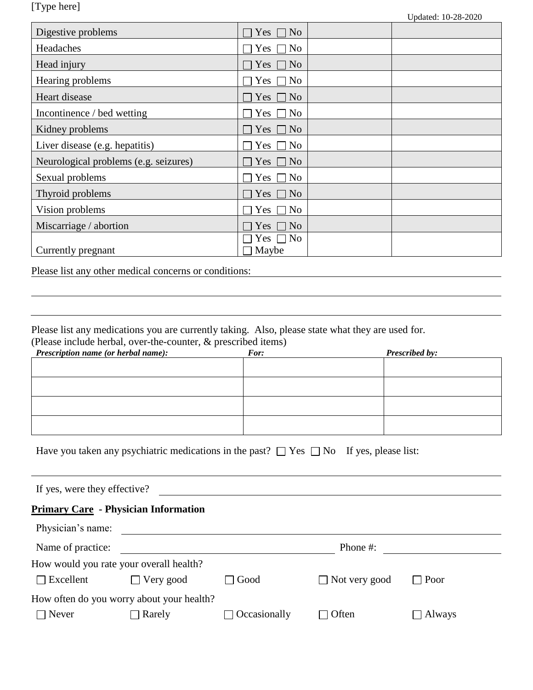[Type here]

| Digestive problems                    | Yes<br>N <sub>o</sub>           |
|---------------------------------------|---------------------------------|
| Headaches                             | Yes  <br>N <sub>0</sub>         |
| Head injury                           | Yes $\Box$ No                   |
| Hearing problems                      | Yes $\Box$<br>No                |
| Heart disease                         | Yes $\Box$ No                   |
| Incontinence / bed wetting            | Yes $\Box$ No                   |
| Kidney problems                       | Yes $\Box$ No                   |
| Liver disease (e.g. hepatitis)        | Yes $\square$<br>N <sub>0</sub> |
| Neurological problems (e.g. seizures) | Yes $\Box$ No                   |
| Sexual problems                       | Yes<br>N <sub>0</sub>           |
| Thyroid problems                      | Yes<br>N <sub>0</sub>           |
| Vision problems                       | Yes<br>No                       |
| Miscarriage / abortion                | Yes<br>N <sub>o</sub>           |
|                                       | Yes $\Box$ No                   |
| Currently pregnant                    | Maybe                           |

Please list any other medical concerns or conditions:

Please list any medications you are currently taking. Also, please state what they are used for. (Please include herbal, over-the-counter, & prescribed items)

| Prescription name (or herbal name): | $\overline{\phantom{a}}$<br>For: | Prescribed by: |
|-------------------------------------|----------------------------------|----------------|
|                                     |                                  |                |
|                                     |                                  |                |
|                                     |                                  |                |
|                                     |                                  |                |
|                                     |                                  |                |

| Have you taken any psychiatric medications in the past? $\Box$ Yes $\Box$ No If yes, please list: |  |  |  |  |
|---------------------------------------------------------------------------------------------------|--|--|--|--|
|                                                                                                   |  |  |  |  |

If yes, were they effective?

# **Primary Care - Physician Information**

| Physician's name: |                                           |                        |                      |               |  |
|-------------------|-------------------------------------------|------------------------|----------------------|---------------|--|
| Name of practice: |                                           |                        | Phone #:             |               |  |
|                   | How would you rate your overall health?   |                        |                      |               |  |
| $\Box$ Excellent  | $\Box$ Very good                          | Good<br>$\blacksquare$ | $\Box$ Not very good | $\Box$ Poor   |  |
|                   | How often do you worry about your health? |                        |                      |               |  |
| $\Box$ Never      | $\Box$ Rarely                             | $\Box$ Occasionally    | $\Box$ Often         | $\Box$ Always |  |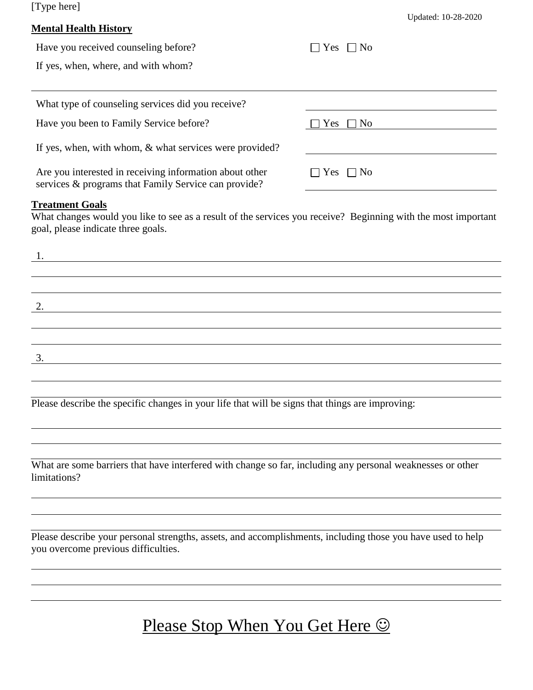[Type here]

#### **Mental Health History**

| Have you received counseling before?                                                                            | $\Box$ No<br>Yes     |
|-----------------------------------------------------------------------------------------------------------------|----------------------|
| If yes, when, where, and with whom?                                                                             |                      |
|                                                                                                                 |                      |
| What type of counseling services did you receive?                                                               |                      |
| Have you been to Family Service before?                                                                         | $\Box$ No<br>Yes     |
| If yes, when, with whom, & what services were provided?                                                         |                      |
| Are you interested in receiving information about other<br>services & programs that Family Service can provide? | $\Box$ Yes $\Box$ No |

#### **Treatment Goals**

What changes would you like to see as a result of the services you receive? Beginning with the most important goal, please indicate three goals.

| ı. |  |  |
|----|--|--|
|    |  |  |
|    |  |  |
| 2. |  |  |
|    |  |  |
|    |  |  |
| 3. |  |  |
|    |  |  |

Please describe the specific changes in your life that will be signs that things are improving:

What are some barriers that have interfered with change so far, including any personal weaknesses or other limitations?

Please describe your personal strengths, assets, and accomplishments, including those you have used to help you overcome previous difficulties.

# Please Stop When You Get Here  $\odot$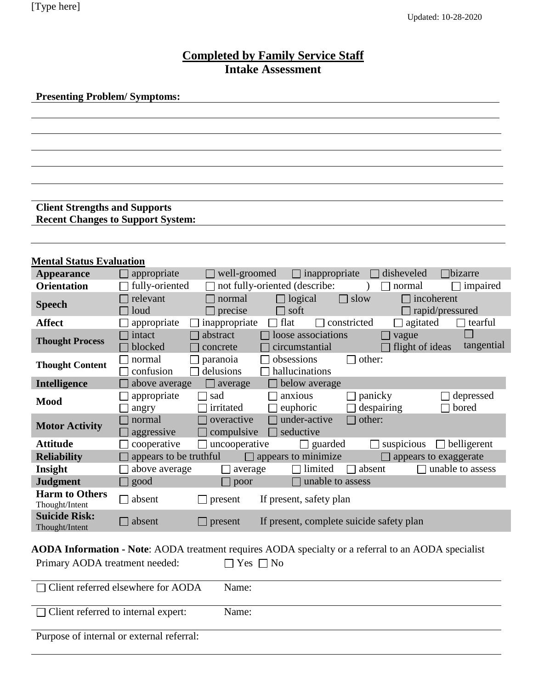# **Completed by Family Service Staff Intake Assessment**

**Presenting Problem/ Symptoms:**

**Client Strengths and Supports Recent Changes to Support System:**

| <b>Mental Status Evaluation</b>                                                                     |                                                                                                                                    |  |  |  |
|-----------------------------------------------------------------------------------------------------|------------------------------------------------------------------------------------------------------------------------------------|--|--|--|
| <b>Appearance</b>                                                                                   | disheveled<br>$\Box$ bizarre<br>$\Box$ appropriate<br>well-groomed<br>inappropriate<br>$\Box$                                      |  |  |  |
| <b>Orientation</b>                                                                                  | $\Box$ fully-oriented<br>not fully-oriented (describe:<br>normal<br>impaired<br>$\overline{\phantom{a}}$                           |  |  |  |
| <b>Speech</b>                                                                                       | $\Box$ slow<br>relevant<br>normal<br>$\Box$ logical<br>incoherent<br>loud<br>$\Box$ precise<br>soft<br>rapid/pressured             |  |  |  |
| <b>Affect</b>                                                                                       | $\Box$ constricted<br>inappropriate<br>flat<br>agitated<br>appropriate<br>$\Box$ tearful                                           |  |  |  |
| <b>Thought Process</b>                                                                              | loose associations<br>$\Box$ intact<br>abstract<br>vague<br>tangential<br>flight of ideas<br>blocked<br>circumstantial<br>concrete |  |  |  |
| <b>Thought Content</b>                                                                              | obsessions<br>other:<br>normal<br>paranoia<br>confusion<br>delusions<br>hallucinations                                             |  |  |  |
| Intelligence                                                                                        | below average<br>above average<br>$\Box$ average                                                                                   |  |  |  |
| <b>Mood</b>                                                                                         | appropriate<br>anxious<br>panicky<br>depressed<br>sad<br>irritated<br>despairing<br>bored<br>euphoric<br>angry                     |  |  |  |
| <b>Motor Activity</b>                                                                               | under-active<br>other:<br>normal<br>overactive<br>compulsive<br>seductive<br>aggressive                                            |  |  |  |
| <b>Attitude</b>                                                                                     | uncooperative<br>$\Box$ cooperative<br>suspicious<br>$\Box$ guarded<br>belligerent                                                 |  |  |  |
| <b>Reliability</b>                                                                                  | appears to be truthful<br>appears to minimize<br>appears to exaggerate<br>$\Box$                                                   |  |  |  |
| Insight                                                                                             | limited<br>unable to assess<br>above average<br>absent<br>average                                                                  |  |  |  |
| <b>Judgment</b>                                                                                     | $\Box$ good<br>unable to assess<br>poor                                                                                            |  |  |  |
| <b>Harm to Others</b><br>Thought/Intent                                                             | $\Box$ absent<br>If present, safety plan<br>present                                                                                |  |  |  |
| <b>Suicide Risk:</b><br>Thought/Intent                                                              | If present, complete suicide safety plan<br>$\Box$ absent<br>$\Box$ present                                                        |  |  |  |
| AODA Information - Note: AODA treatment requires AODA specialty or a referral to an AODA specialist |                                                                                                                                    |  |  |  |
| Primary AODA treatment needed:<br>Yes $\Box$ No                                                     |                                                                                                                                    |  |  |  |
| Client referred elsewhere for AODA<br>Name:                                                         |                                                                                                                                    |  |  |  |
| Client referred to internal expert:<br>Name:                                                        |                                                                                                                                    |  |  |  |

Purpose of internal or external referral: